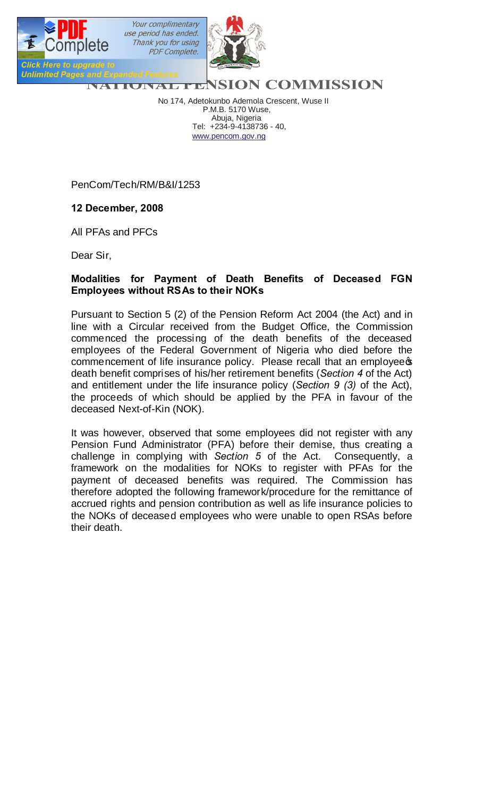

No 174, Adetokunbo Ademola Crescent, Wuse II P.M.B. 5170 Wuse, Abuja, Nigeria Tel: +234-9-4138736 - 40, www.pencom.gov.ng

PenCom/Tech/RM/B&I/1253

## **12 December, 2008**

All PFAs and PFCs

Dear Sir,

## **Modalities for Payment of Death Benefits of Deceased FGN Employees without RSAs to their NOKs**

Pursuant to Section 5 (2) of the Pension Reform Act 2004 (the Act) and in line with a Circular received from the Budget Office, the Commission commenced the processing of the death benefits of the deceased employees of the Federal Government of Nigeria who died before the commencement of life insurance policy. Please recall that an employee of death benefit comprises of his/her retirement benefits (*Section 4* of the Act) and entitlement under the life insurance policy (*Section 9 (3)* of the Act), the proceeds of which should be applied by the PFA in favour of the deceased Next-of-Kin (NOK).

It was however, observed that some employees did not register with any Pension Fund Administrator (PFA) before their demise, thus creating a challenge in complying with *Section 5* of the Act. Consequently, a framework on the modalities for NOKs to register with PFAs for the payment of deceased benefits was required. The Commission has therefore adopted the following framework/procedure for the remittance of accrued rights and pension contribution as well as life insurance policies to the NOKs of deceased employees who were unable to open RSAs before their death.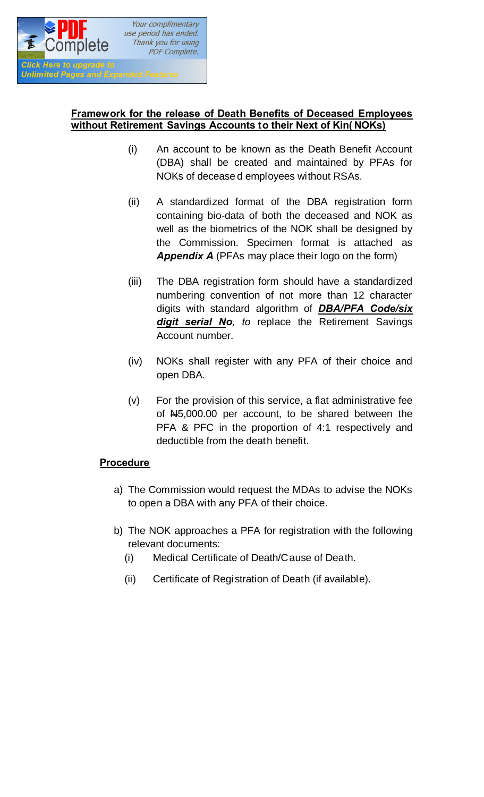

## **Framework for the release of Death Benefits of Deceased Employees without Retirement Savings Accounts to their Next of Kin( NOKs)**

- (i) An account to be known as the Death Benefit Account (DBA) shall be created and maintained by PFAs for NOKs of decease d employees without RSAs.
- (ii) A standardized format of the DBA registration form containing bio-data of both the deceased and NOK as well as the biometrics of the NOK shall be designed by the Commission. Specimen format is attached as *Appendix A* (PFAs may place their logo on the form)
- (iii) The DBA registration form should have a standardized numbering convention of not more than 12 character digits with standard algorithm of *DBA/PFA Code/six digit serial No, to* replace the Retirement Savings Account number.
- (iv) NOKs shall register with any PFA of their choice and open DBA.
- (v) For the provision of this service, a flat administrative fee of N5,000.00 per account, to be shared between the PFA & PFC in the proportion of 4:1 respectively and deductible from the death benefit.

## **Procedure**

- a) The Commission would request the MDAs to advise the NOKs to open a DBA with any PFA of their choice.
- b) The NOK approaches a PFA for registration with the following relevant documents:
	- (i) Medical Certificate of Death/Cause of Death.
	- (ii) Certificate of Registration of Death (if available).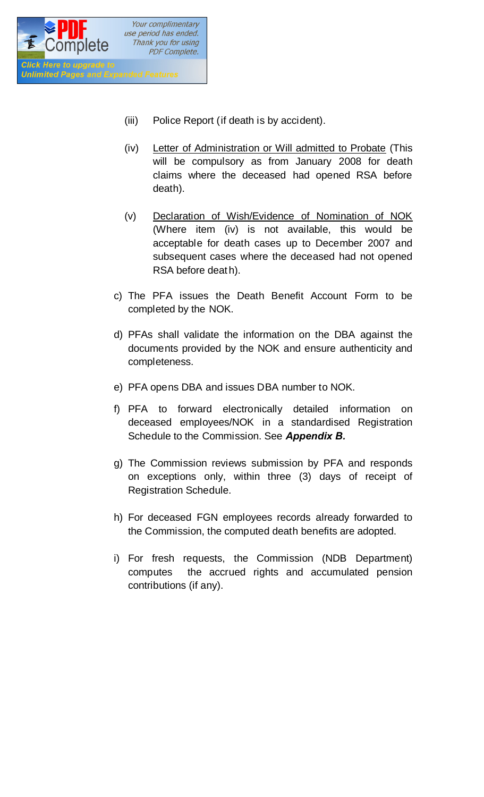

- (iii) Police Report (if death is by accident).
- (iv) Letter of Administration or Will admitted to Probate (This will be compulsory as from January 2008 for death claims where the deceased had opened RSA before death).
- (v) Declaration of Wish/Evidence of Nomination of NOK (Where item (iv) is not available, this would be acceptable for death cases up to December 2007 and subsequent cases where the deceased had not opened RSA before deat h).
- c) The PFA issues the Death Benefit Account Form to be completed by the NOK.
- d) PFAs shall validate the information on the DBA against the documents provided by the NOK and ensure authenticity and completeness.
- e) PFA opens DBA and issues DBA number to NOK.
- f) PFA to forward electronically detailed information on deceased employees/NOK in a standardised Registration Schedule to the Commission. See *Appendix B.*
- g) The Commission reviews submission by PFA and responds on exceptions only, within three (3) days of receipt of Registration Schedule.
- h) For deceased FGN employees records already forwarded to the Commission, the computed death benefits are adopted.
- i) For fresh requests, the Commission (NDB Department) computes the accrued rights and accumulated pension contributions (if any).